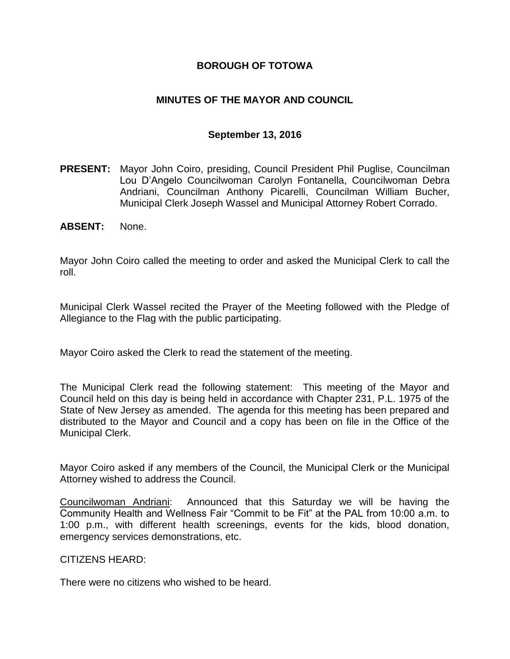## **BOROUGH OF TOTOWA**

## **MINUTES OF THE MAYOR AND COUNCIL**

### **September 13, 2016**

- **PRESENT:** Mayor John Coiro, presiding, Council President Phil Puglise, Councilman Lou D'Angelo Councilwoman Carolyn Fontanella, Councilwoman Debra Andriani, Councilman Anthony Picarelli, Councilman William Bucher, Municipal Clerk Joseph Wassel and Municipal Attorney Robert Corrado.
- **ABSENT:** None.

Mayor John Coiro called the meeting to order and asked the Municipal Clerk to call the roll.

Municipal Clerk Wassel recited the Prayer of the Meeting followed with the Pledge of Allegiance to the Flag with the public participating.

Mayor Coiro asked the Clerk to read the statement of the meeting.

The Municipal Clerk read the following statement: This meeting of the Mayor and Council held on this day is being held in accordance with Chapter 231, P.L. 1975 of the State of New Jersey as amended. The agenda for this meeting has been prepared and distributed to the Mayor and Council and a copy has been on file in the Office of the Municipal Clerk.

Mayor Coiro asked if any members of the Council, the Municipal Clerk or the Municipal Attorney wished to address the Council.

Councilwoman Andriani: Announced that this Saturday we will be having the Community Health and Wellness Fair "Commit to be Fit" at the PAL from 10:00 a.m. to 1:00 p.m., with different health screenings, events for the kids, blood donation, emergency services demonstrations, etc.

### CITIZENS HEARD:

There were no citizens who wished to be heard.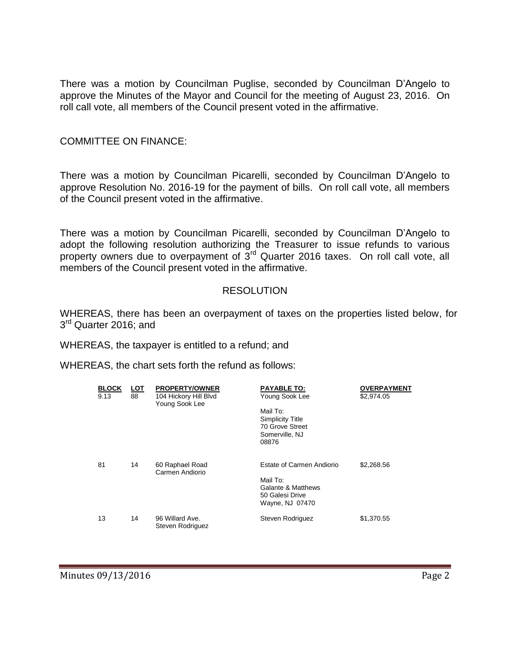There was a motion by Councilman Puglise, seconded by Councilman D'Angelo to approve the Minutes of the Mayor and Council for the meeting of August 23, 2016. On roll call vote, all members of the Council present voted in the affirmative.

### COMMITTEE ON FINANCE:

There was a motion by Councilman Picarelli, seconded by Councilman D'Angelo to approve Resolution No. 2016-19 for the payment of bills. On roll call vote, all members of the Council present voted in the affirmative.

There was a motion by Councilman Picarelli, seconded by Councilman D'Angelo to adopt the following resolution authorizing the Treasurer to issue refunds to various property owners due to overpayment of 3<sup>rd</sup> Quarter 2016 taxes. On roll call vote, all members of the Council present voted in the affirmative.

### RESOLUTION

WHEREAS, there has been an overpayment of taxes on the properties listed below, for 3<sup>rd</sup> Quarter 2016; and

WHEREAS, the taxpayer is entitled to a refund; and

WHEREAS, the chart sets forth the refund as follows:

| <b>BLOCK</b><br>9.13 | <u>LOT</u><br>88 | <b>PROPERTY/OWNER</b><br>104 Hickory Hill Blvd<br>Young Sook Lee | <b>PAYABLE TO:</b><br>Young Sook Lee                                                              | <b>OVERPAYMENT</b><br>\$2,974.05 |
|----------------------|------------------|------------------------------------------------------------------|---------------------------------------------------------------------------------------------------|----------------------------------|
|                      |                  |                                                                  | Mail To:<br><b>Simplicity Title</b><br>70 Grove Street<br>Somerville, NJ<br>08876                 |                                  |
| 81                   | 14               | 60 Raphael Road<br>Carmen Andiorio                               | Estate of Carmen Andiorio<br>Mail To:<br>Galante & Matthews<br>50 Galesi Drive<br>Wayne, NJ 07470 | \$2,268.56                       |
| 13                   | 14               | 96 Willard Ave.<br>Steven Rodriguez                              | Steven Rodriguez                                                                                  | \$1,370.55                       |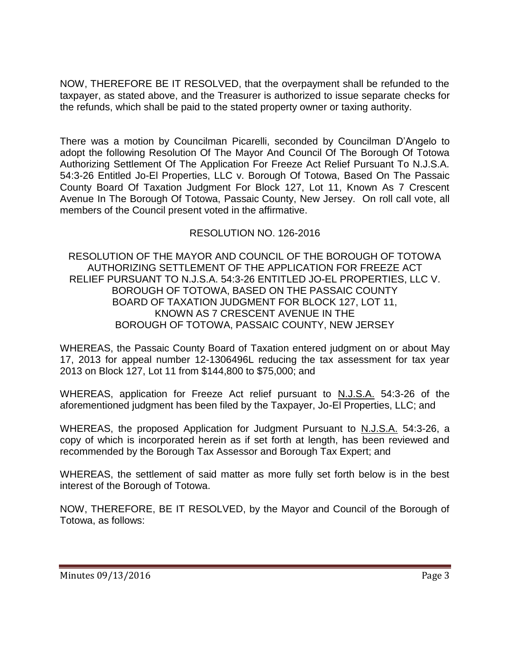NOW, THEREFORE BE IT RESOLVED, that the overpayment shall be refunded to the taxpayer, as stated above, and the Treasurer is authorized to issue separate checks for the refunds, which shall be paid to the stated property owner or taxing authority.

There was a motion by Councilman Picarelli, seconded by Councilman D'Angelo to adopt the following Resolution Of The Mayor And Council Of The Borough Of Totowa Authorizing Settlement Of The Application For Freeze Act Relief Pursuant To N.J.S.A. 54:3-26 Entitled Jo-El Properties, LLC v. Borough Of Totowa, Based On The Passaic County Board Of Taxation Judgment For Block 127, Lot 11, Known As 7 Crescent Avenue In The Borough Of Totowa, Passaic County, New Jersey. On roll call vote, all members of the Council present voted in the affirmative.

# RESOLUTION NO. 126-2016

RESOLUTION OF THE MAYOR AND COUNCIL OF THE BOROUGH OF TOTOWA AUTHORIZING SETTLEMENT OF THE APPLICATION FOR FREEZE ACT RELIEF PURSUANT TO N.J.S.A. 54:3-26 ENTITLED JO-EL PROPERTIES, LLC V. BOROUGH OF TOTOWA, BASED ON THE PASSAIC COUNTY BOARD OF TAXATION JUDGMENT FOR BLOCK 127, LOT 11, KNOWN AS 7 CRESCENT AVENUE IN THE BOROUGH OF TOTOWA, PASSAIC COUNTY, NEW JERSEY

WHEREAS, the Passaic County Board of Taxation entered judgment on or about May 17, 2013 for appeal number 12-1306496L reducing the tax assessment for tax year 2013 on Block 127, Lot 11 from \$144,800 to \$75,000; and

WHEREAS, application for Freeze Act relief pursuant to N.J.S.A. 54:3-26 of the aforementioned judgment has been filed by the Taxpayer, Jo-El Properties, LLC; and

WHEREAS, the proposed Application for Judgment Pursuant to N.J.S.A. 54:3-26, a copy of which is incorporated herein as if set forth at length, has been reviewed and recommended by the Borough Tax Assessor and Borough Tax Expert; and

WHEREAS, the settlement of said matter as more fully set forth below is in the best interest of the Borough of Totowa.

NOW, THEREFORE, BE IT RESOLVED, by the Mayor and Council of the Borough of Totowa, as follows: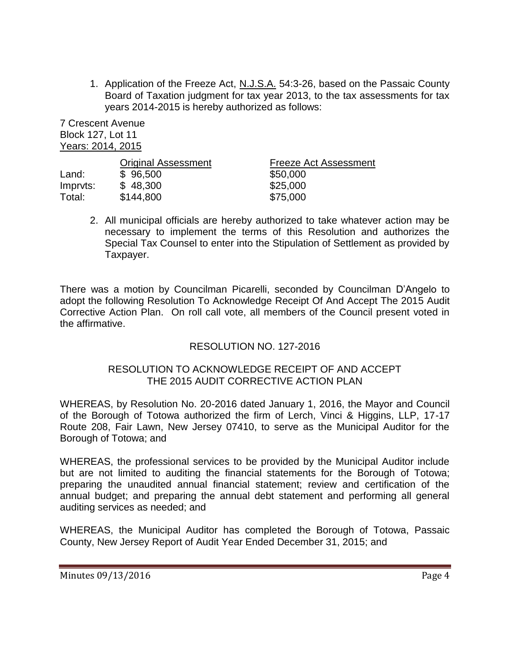1. Application of the Freeze Act, N.J.S.A. 54:3-26, based on the Passaic County Board of Taxation judgment for tax year 2013, to the tax assessments for tax years 2014-2015 is hereby authorized as follows:

7 Crescent Avenue Block 127, Lot 11 Years: 2014, 2015

|          | <b>Original Assessment</b> | <b>Freeze Act Assessment</b> |
|----------|----------------------------|------------------------------|
| Land:    | \$96,500                   | \$50,000                     |
| Imprvts: | \$48,300                   | \$25,000                     |
| Total:   | \$144,800                  | \$75,000                     |

2. All municipal officials are hereby authorized to take whatever action may be necessary to implement the terms of this Resolution and authorizes the Special Tax Counsel to enter into the Stipulation of Settlement as provided by Taxpayer.

There was a motion by Councilman Picarelli, seconded by Councilman D'Angelo to adopt the following Resolution To Acknowledge Receipt Of And Accept The 2015 Audit Corrective Action Plan. On roll call vote, all members of the Council present voted in the affirmative.

## RESOLUTION NO. 127-2016

### RESOLUTION TO ACKNOWLEDGE RECEIPT OF AND ACCEPT THE 2015 AUDIT CORRECTIVE ACTION PLAN

WHEREAS, by Resolution No. 20-2016 dated January 1, 2016, the Mayor and Council of the Borough of Totowa authorized the firm of Lerch, Vinci & Higgins, LLP, 17-17 Route 208, Fair Lawn, New Jersey 07410, to serve as the Municipal Auditor for the Borough of Totowa; and

WHEREAS, the professional services to be provided by the Municipal Auditor include but are not limited to auditing the financial statements for the Borough of Totowa; preparing the unaudited annual financial statement; review and certification of the annual budget; and preparing the annual debt statement and performing all general auditing services as needed; and

WHEREAS, the Municipal Auditor has completed the Borough of Totowa, Passaic County, New Jersey Report of Audit Year Ended December 31, 2015; and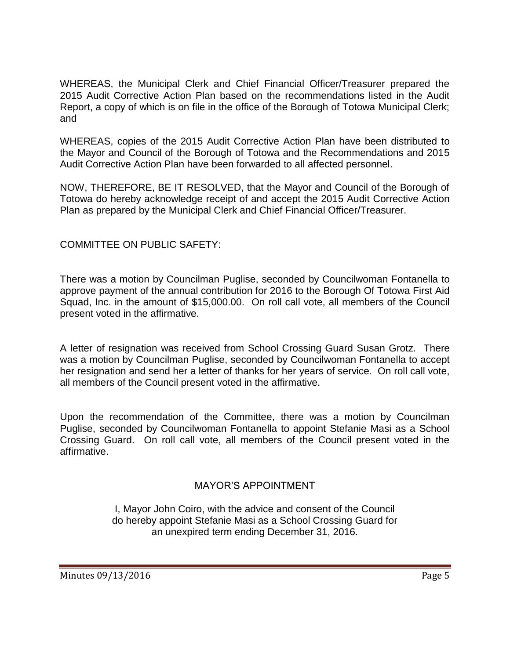WHEREAS, the Municipal Clerk and Chief Financial Officer/Treasurer prepared the 2015 Audit Corrective Action Plan based on the recommendations listed in the Audit Report, a copy of which is on file in the office of the Borough of Totowa Municipal Clerk; and

WHEREAS, copies of the 2015 Audit Corrective Action Plan have been distributed to the Mayor and Council of the Borough of Totowa and the Recommendations and 2015 Audit Corrective Action Plan have been forwarded to all affected personnel.

NOW, THEREFORE, BE IT RESOLVED, that the Mayor and Council of the Borough of Totowa do hereby acknowledge receipt of and accept the 2015 Audit Corrective Action Plan as prepared by the Municipal Clerk and Chief Financial Officer/Treasurer.

COMMITTEE ON PUBLIC SAFETY:

There was a motion by Councilman Puglise, seconded by Councilwoman Fontanella to approve payment of the annual contribution for 2016 to the Borough Of Totowa First Aid Squad, Inc. in the amount of \$15,000.00. On roll call vote, all members of the Council present voted in the affirmative.

A letter of resignation was received from School Crossing Guard Susan Grotz. There was a motion by Councilman Puglise, seconded by Councilwoman Fontanella to accept her resignation and send her a letter of thanks for her years of service. On roll call vote, all members of the Council present voted in the affirmative.

Upon the recommendation of the Committee, there was a motion by Councilman Puglise, seconded by Councilwoman Fontanella to appoint Stefanie Masi as a School Crossing Guard. On roll call vote, all members of the Council present voted in the affirmative.

# MAYOR'S APPOINTMENT

I, Mayor John Coiro, with the advice and consent of the Council do hereby appoint Stefanie Masi as a School Crossing Guard for an unexpired term ending December 31, 2016.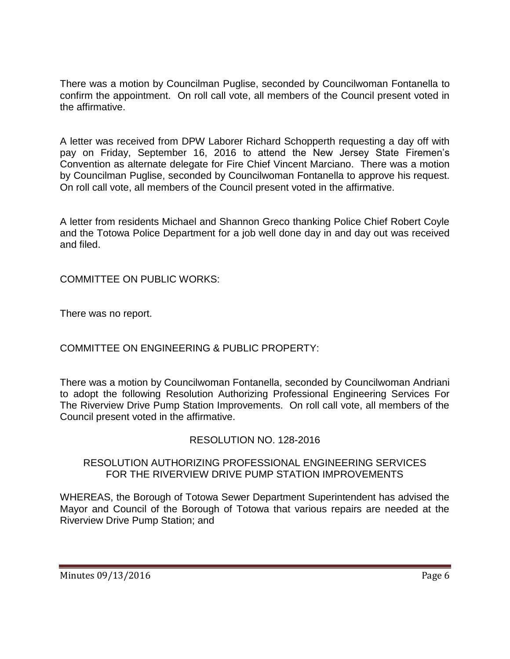There was a motion by Councilman Puglise, seconded by Councilwoman Fontanella to confirm the appointment. On roll call vote, all members of the Council present voted in the affirmative.

A letter was received from DPW Laborer Richard Schopperth requesting a day off with pay on Friday, September 16, 2016 to attend the New Jersey State Firemen's Convention as alternate delegate for Fire Chief Vincent Marciano. There was a motion by Councilman Puglise, seconded by Councilwoman Fontanella to approve his request. On roll call vote, all members of the Council present voted in the affirmative.

A letter from residents Michael and Shannon Greco thanking Police Chief Robert Coyle and the Totowa Police Department for a job well done day in and day out was received and filed.

COMMITTEE ON PUBLIC WORKS:

There was no report.

COMMITTEE ON ENGINEERING & PUBLIC PROPERTY:

There was a motion by Councilwoman Fontanella, seconded by Councilwoman Andriani to adopt the following Resolution Authorizing Professional Engineering Services For The Riverview Drive Pump Station Improvements. On roll call vote, all members of the Council present voted in the affirmative.

## RESOLUTION NO. 128-2016

### RESOLUTION AUTHORIZING PROFESSIONAL ENGINEERING SERVICES FOR THE RIVERVIEW DRIVE PUMP STATION IMPROVEMENTS

WHEREAS, the Borough of Totowa Sewer Department Superintendent has advised the Mayor and Council of the Borough of Totowa that various repairs are needed at the Riverview Drive Pump Station; and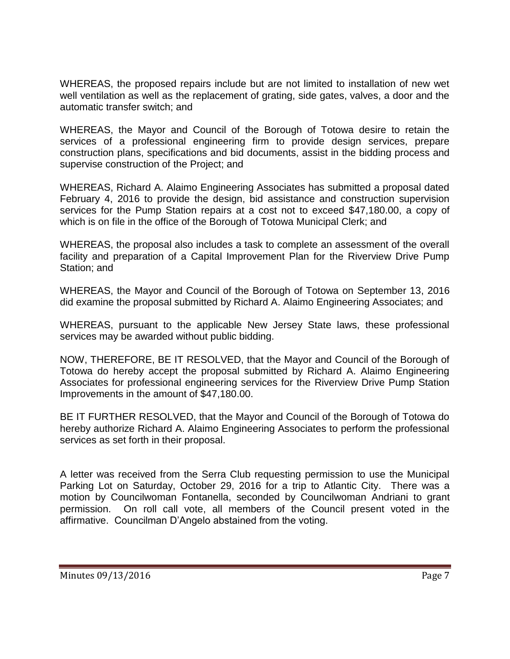WHEREAS, the proposed repairs include but are not limited to installation of new wet well ventilation as well as the replacement of grating, side gates, valves, a door and the automatic transfer switch; and

WHEREAS, the Mayor and Council of the Borough of Totowa desire to retain the services of a professional engineering firm to provide design services, prepare construction plans, specifications and bid documents, assist in the bidding process and supervise construction of the Project; and

WHEREAS, Richard A. Alaimo Engineering Associates has submitted a proposal dated February 4, 2016 to provide the design, bid assistance and construction supervision services for the Pump Station repairs at a cost not to exceed \$47,180.00, a copy of which is on file in the office of the Borough of Totowa Municipal Clerk; and

WHEREAS, the proposal also includes a task to complete an assessment of the overall facility and preparation of a Capital Improvement Plan for the Riverview Drive Pump Station; and

WHEREAS, the Mayor and Council of the Borough of Totowa on September 13, 2016 did examine the proposal submitted by Richard A. Alaimo Engineering Associates; and

WHEREAS, pursuant to the applicable New Jersey State laws, these professional services may be awarded without public bidding.

NOW, THEREFORE, BE IT RESOLVED, that the Mayor and Council of the Borough of Totowa do hereby accept the proposal submitted by Richard A. Alaimo Engineering Associates for professional engineering services for the Riverview Drive Pump Station Improvements in the amount of \$47,180.00.

BE IT FURTHER RESOLVED, that the Mayor and Council of the Borough of Totowa do hereby authorize Richard A. Alaimo Engineering Associates to perform the professional services as set forth in their proposal.

A letter was received from the Serra Club requesting permission to use the Municipal Parking Lot on Saturday, October 29, 2016 for a trip to Atlantic City. There was a motion by Councilwoman Fontanella, seconded by Councilwoman Andriani to grant permission. On roll call vote, all members of the Council present voted in the affirmative. Councilman D'Angelo abstained from the voting.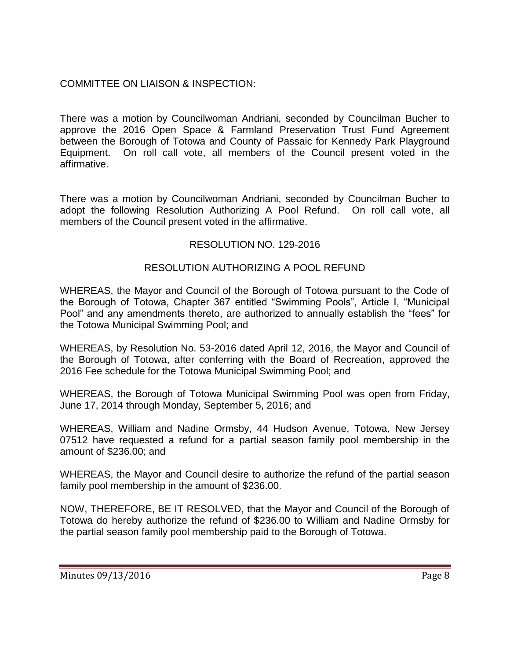## COMMITTEE ON LIAISON & INSPECTION:

There was a motion by Councilwoman Andriani, seconded by Councilman Bucher to approve the 2016 Open Space & Farmland Preservation Trust Fund Agreement between the Borough of Totowa and County of Passaic for Kennedy Park Playground Equipment. On roll call vote, all members of the Council present voted in the affirmative.

There was a motion by Councilwoman Andriani, seconded by Councilman Bucher to adopt the following Resolution Authorizing A Pool Refund. On roll call vote, all members of the Council present voted in the affirmative.

## RESOLUTION NO. 129-2016

### RESOLUTION AUTHORIZING A POOL REFUND

WHEREAS, the Mayor and Council of the Borough of Totowa pursuant to the Code of the Borough of Totowa, Chapter 367 entitled "Swimming Pools", Article I, "Municipal Pool" and any amendments thereto, are authorized to annually establish the "fees" for the Totowa Municipal Swimming Pool; and

WHEREAS, by Resolution No. 53-2016 dated April 12, 2016, the Mayor and Council of the Borough of Totowa, after conferring with the Board of Recreation, approved the 2016 Fee schedule for the Totowa Municipal Swimming Pool; and

WHEREAS, the Borough of Totowa Municipal Swimming Pool was open from Friday, June 17, 2014 through Monday, September 5, 2016; and

WHEREAS, William and Nadine Ormsby, 44 Hudson Avenue, Totowa, New Jersey 07512 have requested a refund for a partial season family pool membership in the amount of \$236.00; and

WHEREAS, the Mayor and Council desire to authorize the refund of the partial season family pool membership in the amount of \$236.00.

NOW, THEREFORE, BE IT RESOLVED, that the Mayor and Council of the Borough of Totowa do hereby authorize the refund of \$236.00 to William and Nadine Ormsby for the partial season family pool membership paid to the Borough of Totowa.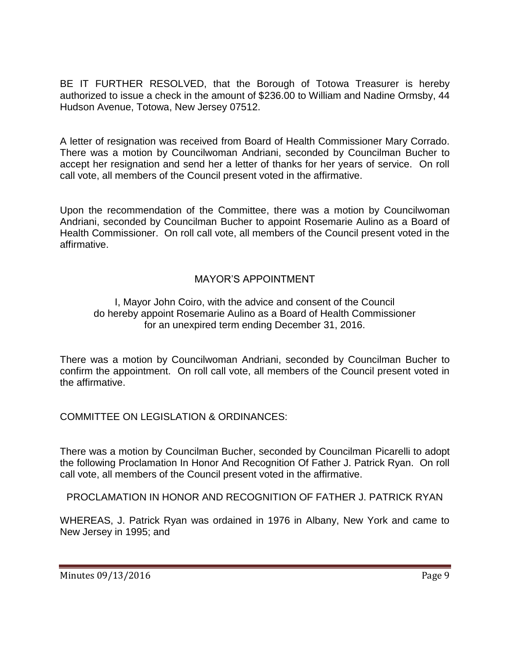BE IT FURTHER RESOLVED, that the Borough of Totowa Treasurer is hereby authorized to issue a check in the amount of \$236.00 to William and Nadine Ormsby, 44 Hudson Avenue, Totowa, New Jersey 07512.

A letter of resignation was received from Board of Health Commissioner Mary Corrado. There was a motion by Councilwoman Andriani, seconded by Councilman Bucher to accept her resignation and send her a letter of thanks for her years of service. On roll call vote, all members of the Council present voted in the affirmative.

Upon the recommendation of the Committee, there was a motion by Councilwoman Andriani, seconded by Councilman Bucher to appoint Rosemarie Aulino as a Board of Health Commissioner. On roll call vote, all members of the Council present voted in the affirmative.

# MAYOR'S APPOINTMENT

#### I, Mayor John Coiro, with the advice and consent of the Council do hereby appoint Rosemarie Aulino as a Board of Health Commissioner for an unexpired term ending December 31, 2016.

There was a motion by Councilwoman Andriani, seconded by Councilman Bucher to confirm the appointment. On roll call vote, all members of the Council present voted in the affirmative.

COMMITTEE ON LEGISLATION & ORDINANCES:

There was a motion by Councilman Bucher, seconded by Councilman Picarelli to adopt the following Proclamation In Honor And Recognition Of Father J. Patrick Ryan. On roll call vote, all members of the Council present voted in the affirmative.

PROCLAMATION IN HONOR AND RECOGNITION OF FATHER J. PATRICK RYAN

WHEREAS, J. Patrick Ryan was ordained in 1976 in Albany, New York and came to New Jersey in 1995; and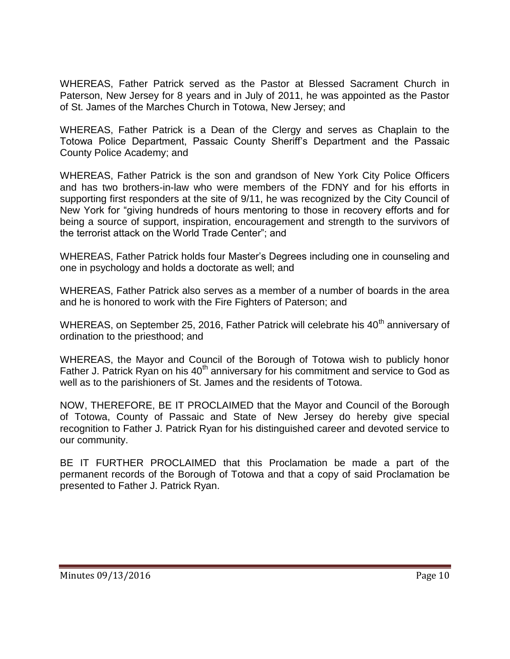WHEREAS, Father Patrick served as the Pastor at Blessed Sacrament Church in Paterson, New Jersey for 8 years and in July of 2011, he was appointed as the Pastor of St. James of the Marches Church in Totowa, New Jersey; and

WHEREAS, Father Patrick is a Dean of the Clergy and serves as Chaplain to the Totowa Police Department, Passaic County Sheriff's Department and the Passaic County Police Academy; and

WHEREAS, Father Patrick is the son and grandson of New York City Police Officers and has two brothers-in-law who were members of the FDNY and for his efforts in supporting first responders at the site of 9/11, he was recognized by the City Council of New York for "giving hundreds of hours mentoring to those in recovery efforts and for being a source of support, inspiration, encouragement and strength to the survivors of the terrorist attack on the World Trade Center"; and

WHEREAS, Father Patrick holds four Master's Degrees including one in counseling and one in psychology and holds a doctorate as well; and

WHEREAS, Father Patrick also serves as a member of a number of boards in the area and he is honored to work with the Fire Fighters of Paterson; and

WHEREAS, on September 25, 2016, Father Patrick will celebrate his 40<sup>th</sup> anniversary of ordination to the priesthood; and

WHEREAS, the Mayor and Council of the Borough of Totowa wish to publicly honor Father J. Patrick Ryan on his 40<sup>th</sup> anniversary for his commitment and service to God as well as to the parishioners of St. James and the residents of Totowa.

NOW, THEREFORE, BE IT PROCLAIMED that the Mayor and Council of the Borough of Totowa, County of Passaic and State of New Jersey do hereby give special recognition to Father J. Patrick Ryan for his distinguished career and devoted service to our community.

BE IT FURTHER PROCLAIMED that this Proclamation be made a part of the permanent records of the Borough of Totowa and that a copy of said Proclamation be presented to Father J. Patrick Ryan.